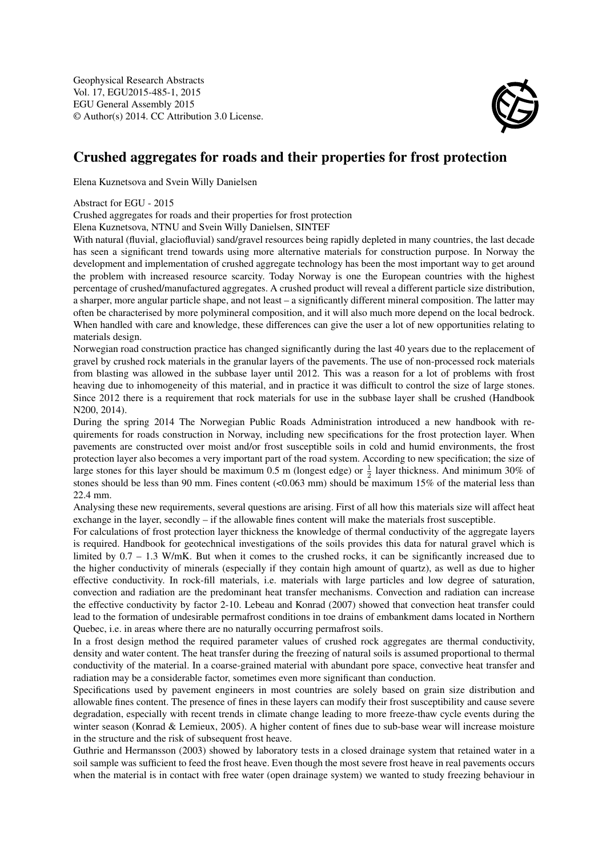Geophysical Research Abstracts Vol. 17, EGU2015-485-1, 2015 EGU General Assembly 2015 © Author(s) 2014. CC Attribution 3.0 License.



## Crushed aggregates for roads and their properties for frost protection

Elena Kuznetsova and Svein Willy Danielsen

Abstract for EGU - 2015

Crushed aggregates for roads and their properties for frost protection

Elena Kuznetsova, NTNU and Svein Willy Danielsen, SINTEF

With natural (fluvial, glaciofluvial) sand/gravel resources being rapidly depleted in many countries, the last decade has seen a significant trend towards using more alternative materials for construction purpose. In Norway the development and implementation of crushed aggregate technology has been the most important way to get around the problem with increased resource scarcity. Today Norway is one the European countries with the highest percentage of crushed/manufactured aggregates. A crushed product will reveal a different particle size distribution, a sharper, more angular particle shape, and not least – a significantly different mineral composition. The latter may often be characterised by more polymineral composition, and it will also much more depend on the local bedrock. When handled with care and knowledge, these differences can give the user a lot of new opportunities relating to materials design.

Norwegian road construction practice has changed significantly during the last 40 years due to the replacement of gravel by crushed rock materials in the granular layers of the pavements. The use of non-processed rock materials from blasting was allowed in the subbase layer until 2012. This was a reason for a lot of problems with frost heaving due to inhomogeneity of this material, and in practice it was difficult to control the size of large stones. Since 2012 there is a requirement that rock materials for use in the subbase layer shall be crushed (Handbook N200, 2014).

During the spring 2014 The Norwegian Public Roads Administration introduced a new handbook with requirements for roads construction in Norway, including new specifications for the frost protection layer. When pavements are constructed over moist and/or frost susceptible soils in cold and humid environments, the frost protection layer also becomes a very important part of the road system. According to new specification; the size of large stones for this layer should be maximum 0.5 m (longest edge) or  $\frac{1}{2}$  layer thickness. And minimum 30% of stones should be less than 90 mm. Fines content (<0.063 mm) should be maximum 15% of the material less than 22.4 mm.

Analysing these new requirements, several questions are arising. First of all how this materials size will affect heat exchange in the layer, secondly – if the allowable fines content will make the materials frost susceptible.

For calculations of frost protection layer thickness the knowledge of thermal conductivity of the aggregate layers is required. Handbook for geotechnical investigations of the soils provides this data for natural gravel which is limited by 0.7 – 1.3 W/mK. But when it comes to the crushed rocks, it can be significantly increased due to the higher conductivity of minerals (especially if they contain high amount of quartz), as well as due to higher effective conductivity. In rock-fill materials, i.e. materials with large particles and low degree of saturation, convection and radiation are the predominant heat transfer mechanisms. Convection and radiation can increase the effective conductivity by factor 2-10. Lebeau and Konrad (2007) showed that convection heat transfer could lead to the formation of undesirable permafrost conditions in toe drains of embankment dams located in Northern Quebec, i.e. in areas where there are no naturally occurring permafrost soils.

In a frost design method the required parameter values of crushed rock aggregates are thermal conductivity, density and water content. The heat transfer during the freezing of natural soils is assumed proportional to thermal conductivity of the material. In a coarse-grained material with abundant pore space, convective heat transfer and radiation may be a considerable factor, sometimes even more significant than conduction.

Specifications used by pavement engineers in most countries are solely based on grain size distribution and allowable fines content. The presence of fines in these layers can modify their frost susceptibility and cause severe degradation, especially with recent trends in climate change leading to more freeze-thaw cycle events during the winter season (Konrad & Lemieux, 2005). A higher content of fines due to sub-base wear will increase moisture in the structure and the risk of subsequent frost heave.

Guthrie and Hermansson (2003) showed by laboratory tests in a closed drainage system that retained water in a soil sample was sufficient to feed the frost heave. Even though the most severe frost heave in real pavements occurs when the material is in contact with free water (open drainage system) we wanted to study freezing behaviour in